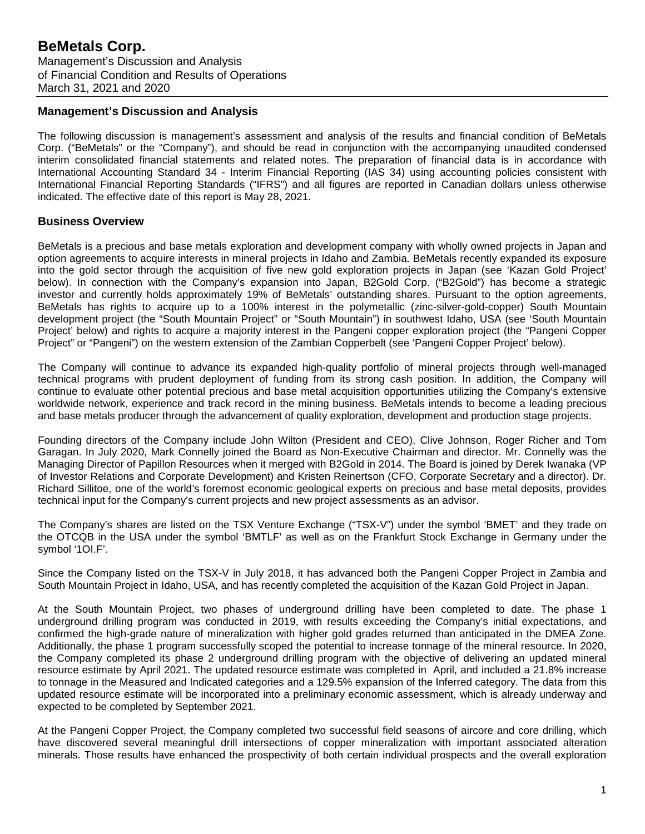## **Management's Discussion and Analysis**

The following discussion is management's assessment and analysis of the results and financial condition of BeMetals Corp. ("BeMetals" or the "Company"), and should be read in conjunction with the accompanying unaudited condensed interim consolidated financial statements and related notes. The preparation of financial data is in accordance with International Accounting Standard 34 - Interim Financial Reporting (IAS 34) using accounting policies consistent with International Financial Reporting Standards ("IFRS") and all figures are reported in Canadian dollars unless otherwise indicated. The effective date of this report is May 28, 2021.

## **Business Overview**

BeMetals is a precious and base metals exploration and development company with wholly owned projects in Japan and option agreements to acquire interests in mineral projects in Idaho and Zambia. BeMetals recently expanded its exposure into the gold sector through the acquisition of five new gold exploration projects in Japan (see 'Kazan Gold Project' below). In connection with the Company's expansion into Japan, B2Gold Corp. ("B2Gold") has become a strategic investor and currently holds approximately 19% of BeMetals' outstanding shares. Pursuant to the option agreements, BeMetals has rights to acquire up to a 100% interest in the polymetallic (zinc-silver-gold-copper) South Mountain development project (the "South Mountain Project" or "South Mountain") in southwest Idaho, USA (see 'South Mountain Project' below) and rights to acquire a majority interest in the Pangeni copper exploration project (the "Pangeni Copper Project" or "Pangeni") on the western extension of the Zambian Copperbelt (see 'Pangeni Copper Project' below).

The Company will continue to advance its expanded high-quality portfolio of mineral projects through well-managed technical programs with prudent deployment of funding from its strong cash position. In addition, the Company will continue to evaluate other potential precious and base metal acquisition opportunities utilizing the Company's extensive worldwide network, experience and track record in the mining business. BeMetals intends to become a leading precious and base metals producer through the advancement of quality exploration, development and production stage projects.

Founding directors of the Company include John Wilton (President and CEO), Clive Johnson, Roger Richer and Tom Garagan. In July 2020, Mark Connelly joined the Board as Non-Executive Chairman and director. Mr. Connelly was the Managing Director of Papillon Resources when it merged with B2Gold in 2014. The Board is joined by Derek Iwanaka (VP of Investor Relations and Corporate Development) and Kristen Reinertson (CFO, Corporate Secretary and a director). Dr. Richard Sillitoe, one of the world's foremost economic geological experts on precious and base metal deposits, provides technical input for the Company's current projects and new project assessments as an advisor.

The Company's shares are listed on the TSX Venture Exchange ("TSX-V") under the symbol 'BMET' and they trade on the OTCQB in the USA under the symbol 'BMTLF' as well as on the Frankfurt Stock Exchange in Germany under the symbol '1OI.F'.

Since the Company listed on the TSX-V in July 2018, it has advanced both the Pangeni Copper Project in Zambia and South Mountain Project in Idaho, USA, and has recently completed the acquisition of the Kazan Gold Project in Japan.

At the South Mountain Project, two phases of underground drilling have been completed to date. The phase 1 underground drilling program was conducted in 2019, with results exceeding the Company's initial expectations, and confirmed the high-grade nature of mineralization with higher gold grades returned than anticipated in the DMEA Zone. Additionally, the phase 1 program successfully scoped the potential to increase tonnage of the mineral resource. In 2020, the Company completed its phase 2 underground drilling program with the objective of delivering an updated mineral resource estimate by April 2021. The updated resource estimate was completed in April, and included a 21.8% increase to tonnage in the Measured and Indicated categories and a 129.5% expansion of the Inferred category. The data from this updated resource estimate will be incorporated into a preliminary economic assessment, which is already underway and expected to be completed by September 2021.

At the Pangeni Copper Project, the Company completed two successful field seasons of aircore and core drilling, which have discovered several meaningful drill intersections of copper mineralization with important associated alteration minerals. Those results have enhanced the prospectivity of both certain individual prospects and the overall exploration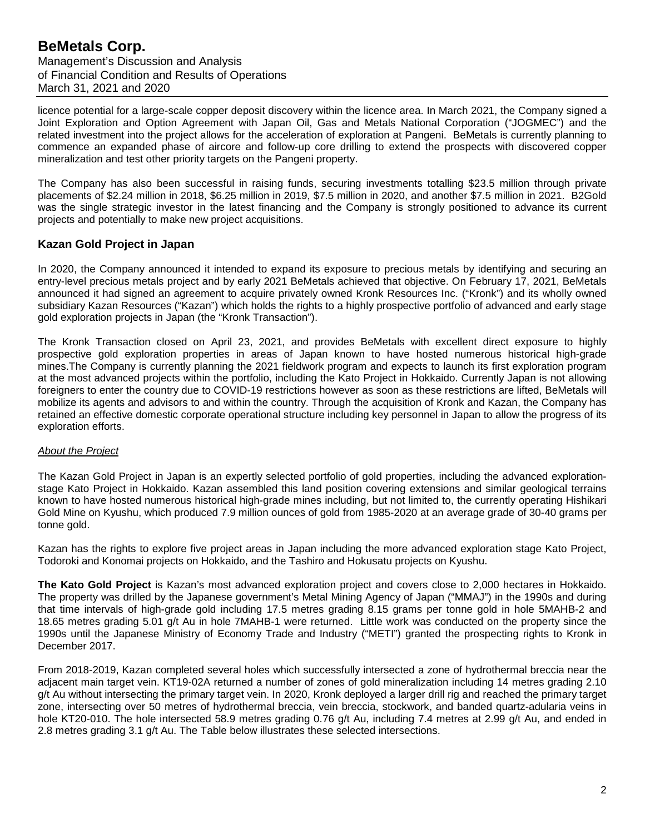licence potential for a large-scale copper deposit discovery within the licence area. In March 2021, the Company signed a Joint Exploration and Option Agreement with Japan Oil, Gas and Metals National Corporation ("JOGMEC") and the related investment into the project allows for the acceleration of exploration at Pangeni. BeMetals is currently planning to commence an expanded phase of aircore and follow-up core drilling to extend the prospects with discovered copper mineralization and test other priority targets on the Pangeni property.

The Company has also been successful in raising funds, securing investments totalling \$23.5 million through private placements of \$2.24 million in 2018, \$6.25 million in 2019, \$7.5 million in 2020, and another \$7.5 million in 2021. B2Gold was the single strategic investor in the latest financing and the Company is strongly positioned to advance its current projects and potentially to make new project acquisitions.

# **Kazan Gold Project in Japan**

In 2020, the Company announced it intended to expand its exposure to precious metals by identifying and securing an entry-level precious metals project and by early 2021 BeMetals achieved that objective. On February 17, 2021, BeMetals announced it had signed an agreement to acquire privately owned Kronk Resources Inc. ("Kronk") and its wholly owned subsidiary Kazan Resources ("Kazan") which holds the rights to a highly prospective portfolio of advanced and early stage gold exploration projects in Japan (the "Kronk Transaction").

The Kronk Transaction closed on April 23, 2021, and provides BeMetals with excellent direct exposure to highly prospective gold exploration properties in areas of Japan known to have hosted numerous historical high-grade mines.The Company is currently planning the 2021 fieldwork program and expects to launch its first exploration program at the most advanced projects within the portfolio, including the Kato Project in Hokkaido. Currently Japan is not allowing foreigners to enter the country due to COVID-19 restrictions however as soon as these restrictions are lifted, BeMetals will mobilize its agents and advisors to and within the country. Through the acquisition of Kronk and Kazan, the Company has retained an effective domestic corporate operational structure including key personnel in Japan to allow the progress of its exploration efforts.

## *About the Project*

The Kazan Gold Project in Japan is an expertly selected portfolio of gold properties, including the advanced explorationstage Kato Project in Hokkaido. Kazan assembled this land position covering extensions and similar geological terrains known to have hosted numerous historical high-grade mines including, but not limited to, the currently operating Hishikari Gold Mine on Kyushu, which produced 7.9 million ounces of gold from 1985-2020 at an average grade of 30-40 grams per tonne gold.

Kazan has the rights to explore five project areas in Japan including the more advanced exploration stage Kato Project, Todoroki and Konomai projects on Hokkaido, and the Tashiro and Hokusatu projects on Kyushu.

**The Kato Gold Project** is Kazan's most advanced exploration project and covers close to 2,000 hectares in Hokkaido. The property was drilled by the Japanese government's Metal Mining Agency of Japan ("MMAJ") in the 1990s and during that time intervals of high-grade gold including 17.5 metres grading 8.15 grams per tonne gold in hole 5MAHB-2 and 18.65 metres grading 5.01 g/t Au in hole 7MAHB-1 were returned. Little work was conducted on the property since the 1990s until the Japanese Ministry of Economy Trade and Industry ("METI") granted the prospecting rights to Kronk in December 2017.

From 2018-2019, Kazan completed several holes which successfully intersected a zone of hydrothermal breccia near the adjacent main target vein. KT19-02A returned a number of zones of gold mineralization including 14 metres grading 2.10 g/t Au without intersecting the primary target vein. In 2020, Kronk deployed a larger drill rig and reached the primary target zone, intersecting over 50 metres of hydrothermal breccia, vein breccia, stockwork, and banded quartz-adularia veins in hole KT20-010. The hole intersected 58.9 metres grading 0.76 g/t Au, including 7.4 metres at 2.99 g/t Au, and ended in 2.8 metres grading 3.1 g/t Au. The Table below illustrates these selected intersections.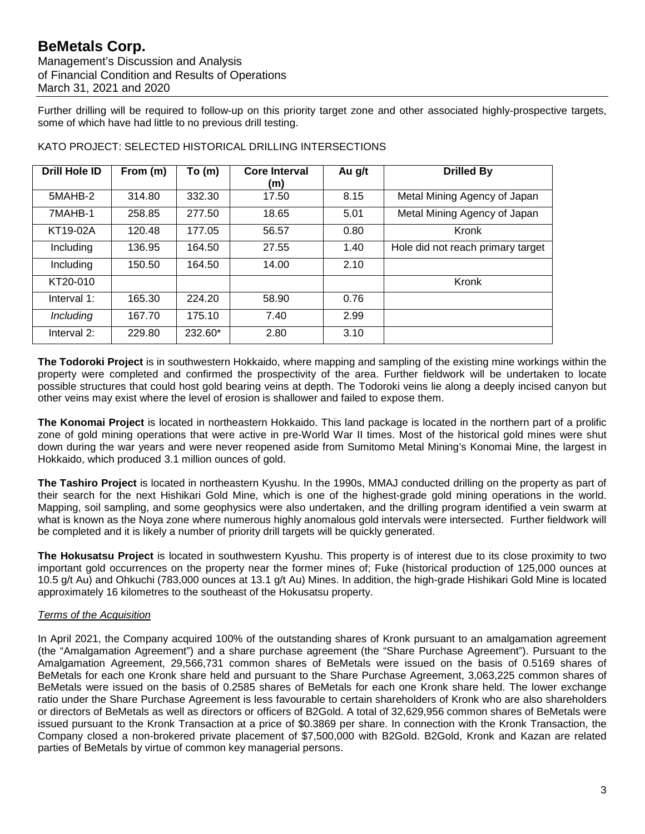Management's Discussion and Analysis of Financial Condition and Results of Operations March 31, 2021 and 2020

Further drilling will be required to follow-up on this priority target zone and other associated highly-prospective targets, some of which have had little to no previous drill testing.

| <b>Drill Hole ID</b> | From (m) | To (m)  | <b>Core Interval</b><br>(m) | Au g/t | <b>Drilled By</b>                 |
|----------------------|----------|---------|-----------------------------|--------|-----------------------------------|
| 5MAHB-2              | 314.80   | 332.30  | 17.50                       | 8.15   | Metal Mining Agency of Japan      |
| 7MAHB-1              | 258.85   | 277.50  | 18.65                       | 5.01   | Metal Mining Agency of Japan      |
| KT19-02A             | 120.48   | 177.05  | 56.57                       | 0.80   | Kronk                             |
| Including            | 136.95   | 164.50  | 27.55                       | 1.40   | Hole did not reach primary target |
| Including            | 150.50   | 164.50  | 14.00                       | 2.10   |                                   |
| KT20-010             |          |         |                             |        | Kronk                             |
| Interval 1:          | 165.30   | 224.20  | 58.90                       | 0.76   |                                   |
| Including            | 167.70   | 175.10  | 7.40                        | 2.99   |                                   |
| Interval 2:          | 229.80   | 232.60* | 2.80                        | 3.10   |                                   |

KATO PROJECT: SELECTED HISTORICAL DRILLING INTERSECTIONS

**The Todoroki Project** is in southwestern Hokkaido, where mapping and sampling of the existing mine workings within the property were completed and confirmed the prospectivity of the area. Further fieldwork will be undertaken to locate possible structures that could host gold bearing veins at depth. The Todoroki veins lie along a deeply incised canyon but other veins may exist where the level of erosion is shallower and failed to expose them.

**The Konomai Project** is located in northeastern Hokkaido. This land package is located in the northern part of a prolific zone of gold mining operations that were active in pre-World War II times. Most of the historical gold mines were shut down during the war years and were never reopened aside from Sumitomo Metal Mining's Konomai Mine, the largest in Hokkaido, which produced 3.1 million ounces of gold.

**The Tashiro Project** is located in northeastern Kyushu. In the 1990s, MMAJ conducted drilling on the property as part of their search for the next Hishikari Gold Mine, which is one of the highest-grade gold mining operations in the world. Mapping, soil sampling, and some geophysics were also undertaken, and the drilling program identified a vein swarm at what is known as the Noya zone where numerous highly anomalous gold intervals were intersected. Further fieldwork will be completed and it is likely a number of priority drill targets will be quickly generated.

**The Hokusatsu Project** is located in southwestern Kyushu. This property is of interest due to its close proximity to two important gold occurrences on the property near the former mines of; Fuke (historical production of 125,000 ounces at 10.5 g/t Au) and Ohkuchi (783,000 ounces at 13.1 g/t Au) Mines. In addition, the high-grade Hishikari Gold Mine is located approximately 16 kilometres to the southeast of the Hokusatsu property.

# *Terms of the Acquisition*

In April 2021, the Company acquired 100% of the outstanding shares of Kronk pursuant to an amalgamation agreement (the "Amalgamation Agreement") and a share purchase agreement (the "Share Purchase Agreement"). Pursuant to the Amalgamation Agreement, 29,566,731 common shares of BeMetals were issued on the basis of 0.5169 shares of BeMetals for each one Kronk share held and pursuant to the Share Purchase Agreement, 3,063,225 common shares of BeMetals were issued on the basis of 0.2585 shares of BeMetals for each one Kronk share held. The lower exchange ratio under the Share Purchase Agreement is less favourable to certain shareholders of Kronk who are also shareholders or directors of BeMetals as well as directors or officers of B2Gold. A total of 32,629,956 common shares of BeMetals were issued pursuant to the Kronk Transaction at a price of \$0.3869 per share. In connection with the Kronk Transaction, the Company closed a non-brokered private placement of \$7,500,000 with B2Gold. B2Gold, Kronk and Kazan are related parties of BeMetals by virtue of common key managerial persons.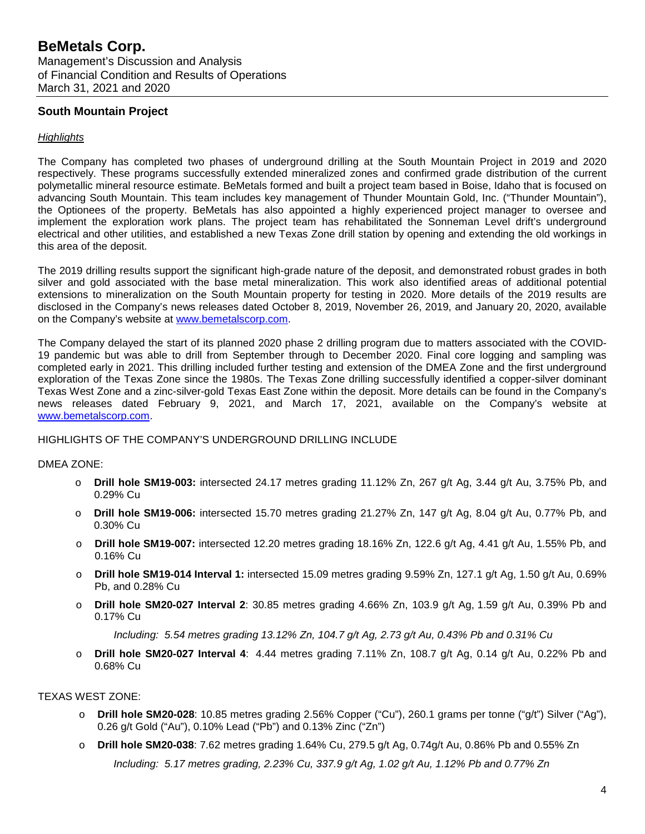## **South Mountain Project**

### *Highlights*

The Company has completed two phases of underground drilling at the South Mountain Project in 2019 and 2020 respectively. These programs successfully extended mineralized zones and confirmed grade distribution of the current polymetallic mineral resource estimate. BeMetals formed and built a project team based in Boise, Idaho that is focused on advancing South Mountain. This team includes key management of Thunder Mountain Gold, Inc. ("Thunder Mountain"), the Optionees of the property. BeMetals has also appointed a highly experienced project manager to oversee and implement the exploration work plans. The project team has rehabilitated the Sonneman Level drift's underground electrical and other utilities, and established a new Texas Zone drill station by opening and extending the old workings in this area of the deposit.

The 2019 drilling results support the significant high-grade nature of the deposit, and demonstrated robust grades in both silver and gold associated with the base metal mineralization. This work also identified areas of additional potential extensions to mineralization on the South Mountain property for testing in 2020. More details of the 2019 results are disclosed in the Company's news releases dated October 8, 2019, November 26, 2019, and January 20, 2020, available on the Company's website at [www.bemetalscorp.com.](http://www.bemetalscorp.com/)

The Company delayed the start of its planned 2020 phase 2 drilling program due to matters associated with the COVID-19 pandemic but was able to drill from September through to December 2020. Final core logging and sampling was completed early in 2021. This drilling included further testing and extension of the DMEA Zone and the first underground exploration of the Texas Zone since the 1980s. The Texas Zone drilling successfully identified a copper-silver dominant Texas West Zone and a zinc-silver-gold Texas East Zone within the deposit. More details can be found in the Company's news releases dated February 9, 2021, and March 17, 2021, available on the Company's website at [www.bemetalscorp.com.](http://www.bemetalscorp.com/)

### HIGHLIGHTS OF THE COMPANY'S UNDERGROUND DRILLING INCLUDE

### DMEA ZONE:

- o **Drill hole SM19-003:** intersected 24.17 metres grading 11.12% Zn, 267 g/t Ag, 3.44 g/t Au, 3.75% Pb, and 0.29% Cu
- o **Drill hole SM19-006:** intersected 15.70 metres grading 21.27% Zn, 147 g/t Ag, 8.04 g/t Au, 0.77% Pb, and 0.30% Cu
- o **Drill hole SM19-007:** intersected 12.20 metres grading 18.16% Zn, 122.6 g/t Ag, 4.41 g/t Au, 1.55% Pb, and 0.16% Cu
- o **Drill hole SM19-014 Interval 1:** intersected 15.09 metres grading 9.59% Zn, 127.1 g/t Ag, 1.50 g/t Au, 0.69% Pb, and 0.28% Cu
- o **Drill hole SM20-027 Interval 2**: 30.85 metres grading 4.66% Zn, 103.9 g/t Ag, 1.59 g/t Au, 0.39% Pb and 0.17% Cu

*Including: 5.54 metres grading 13.12% Zn, 104.7 g/t Ag, 2.73 g/t Au, 0.43% Pb and 0.31% Cu*

o **Drill hole SM20-027 Interval 4**: 4.44 metres grading 7.11% Zn, 108.7 g/t Ag, 0.14 g/t Au, 0.22% Pb and 0.68% Cu

### TEXAS WEST ZONE:

- **Drill hole SM20-028**: 10.85 metres grading 2.56% Copper ("Cu"), 260.1 grams per tonne ("g/t") Silver ("Ag"), 0.26 g/t Gold ("Au"), 0.10% Lead ("Pb") and 0.13% Zinc ("Zn")
- o **Drill hole SM20-038**: 7.62 metres grading 1.64% Cu, 279.5 g/t Ag, 0.74g/t Au, 0.86% Pb and 0.55% Zn *Including: 5.17 metres grading, 2.23% Cu, 337.9 g/t Ag, 1.02 g/t Au, 1.12% Pb and 0.77% Zn*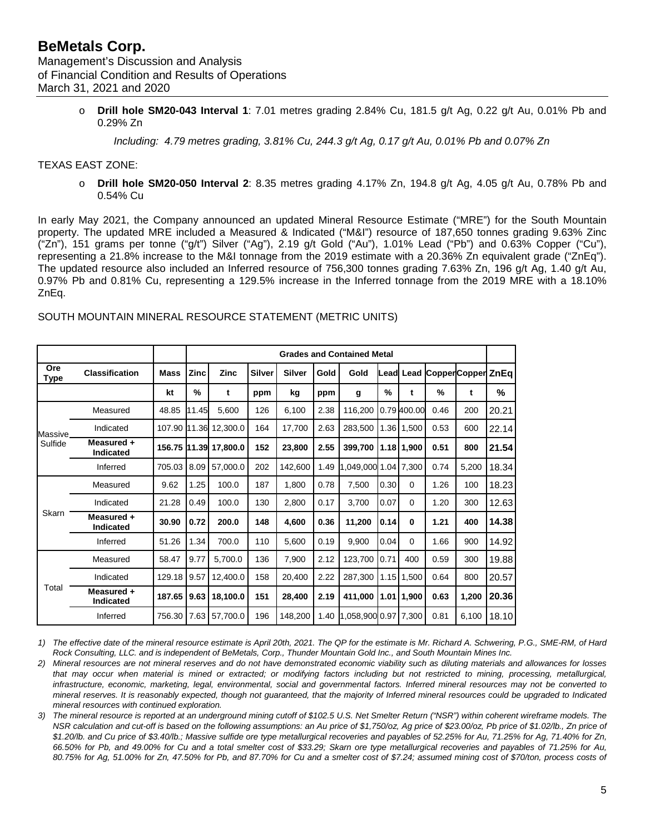o **Drill hole SM20-043 Interval 1**: 7.01 metres grading 2.84% Cu, 181.5 g/t Ag, 0.22 g/t Au, 0.01% Pb and 0.29% Zn

*Including: 4.79 metres grading, 3.81% Cu, 244.3 g/t Ag, 0.17 g/t Au, 0.01% Pb and 0.07% Zn*

### TEXAS EAST ZONE:

o **Drill hole SM20-050 Interval 2**: 8.35 metres grading 4.17% Zn, 194.8 g/t Ag, 4.05 g/t Au, 0.78% Pb and 0.54% Cu

In early May 2021, the Company announced an updated Mineral Resource Estimate ("MRE") for the South Mountain property. The updated MRE included a Measured & Indicated ("M&I") resource of 187,650 tonnes grading 9.63% Zinc ("Zn"), 151 grams per tonne ("g/t") Silver ("Ag"), 2.19 g/t Gold ("Au"), 1.01% Lead ("Pb") and 0.63% Copper ("Cu"), representing a 21.8% increase to the M&I tonnage from the 2019 estimate with a 20.36% Zn equivalent grade ("ZnEq"). The updated resource also included an Inferred resource of 756,300 tonnes grading 7.63% Zn, 196 g/t Ag, 1.40 g/t Au, 0.97% Pb and 0.81% Cu, representing a 129.5% increase in the Inferred tonnage from the 2019 MRE with a 18.10% ZnEq.

|             |                                |              | <b>Grades and Contained Metal</b> |                       |               |               |      |                      |               |                |                        |       |       |
|-------------|--------------------------------|--------------|-----------------------------------|-----------------------|---------------|---------------|------|----------------------|---------------|----------------|------------------------|-------|-------|
| Ore<br>Type | <b>Classification</b>          | Mass         | <b>Zinc</b>                       | Zinc                  | <b>Silver</b> | <b>Silver</b> | Gold | Gold                 | Lead          |                | Lead CopperCopper ZnEq |       |       |
|             |                                | kt           | %                                 | t                     | ppm           | kg            | ppm  | g                    | $\frac{0}{0}$ | t              | %                      | t     | %     |
|             | Measured                       | 48.85        | 11.45                             | 5,600                 | 126           | 6,100         | 2.38 | 116,200              |               | 0.79 400.00    | 0.46                   | 200   | 20.21 |
| Massive     | Indicated                      | 107.90 11.36 |                                   | 12,300.0              | 164           | 17,700        | 2.63 | 283,500              |               | 1.36 1,500     | 0.53                   | 600   | 22.14 |
| Sulfide     | Measured +<br><b>Indicated</b> |              |                                   | 156.75 11.39 17,800.0 | 152           | 23,800        | 2.55 | 399,700              |               | $1.18$ 1,900   | 0.51                   | 800   | 21.54 |
|             | Inferred                       | 705.03       | 8.09                              | 57,000.0              | 202           | 142,600       | 1.49 | 1,049,000 1.04 7,300 |               |                | 0.74                   | 5,200 | 18.34 |
|             | Measured                       | 9.62         | 1.25                              | 100.0                 | 187           | 1,800         | 0.78 | 7,500                | 0.30          | $\Omega$       | 1.26                   | 100   | 18.23 |
|             | Indicated                      | 21.28        | 0.49                              | 100.0                 | 130           | 2,800         | 0.17 | 3,700                | 0.07          | $\Omega$       | 1.20                   | 300   | 12.63 |
| Skarn       | Measured +<br><b>Indicated</b> | 30.90        | 0.72                              | 200.0                 | 148           | 4,600         | 0.36 | 11,200               | 0.14          | $\bf{0}$       | 1.21                   | 400   | 14.38 |
|             | Inferred                       | 51.26        | 1.34                              | 700.0                 | 110           | 5,600         | 0.19 | 9,900                | 0.04          | $\Omega$       | 1.66                   | 900   | 14.92 |
|             | Measured                       | 58.47        | 9.77                              | 5,700.0               | 136           | 7,900         | 2.12 | 123,700              | 0.71          | 400            | 0.59                   | 300   | 19.88 |
|             | Indicated                      | 129.18       | 9.57                              | 12,400.0              | 158           | 20,400        | 2.22 | 287,300              |               | 1.15 1,500     | 0.64                   | 800   | 20.57 |
| Total       | Measured +<br>Indicated        | 187.65       | 9.63                              | 18,100.0              | 151           | 28,400        | 2.19 | 411,000              |               | $1.01$   1,900 | 0.63                   | 1,200 | 20.36 |
|             | Inferred                       | 756.30       | 7.63                              | 57,700.0              | 196           | 148,200       | 1.40 | 1,058,900 0.97 7,300 |               |                | 0.81                   | 6,100 | 18.10 |

#### SOUTH MOUNTAIN MINERAL RESOURCE STATEMENT (METRIC UNITS)

*1) The effective date of the mineral resource estimate is April 20th, 2021. The QP for the estimate is Mr. Richard A. Schwering, P.G., SME-RM, of Hard Rock Consulting, LLC. and is independent of BeMetals, Corp., Thunder Mountain Gold Inc., and South Mountain Mines Inc.*

- *2) Mineral resources are not mineral reserves and do not have demonstrated economic viability such as diluting materials and allowances for losses*  that may occur when material is mined or extracted; or modifying factors including but not restricted to mining, processing, metallurgical, *infrastructure, economic, marketing, legal, environmental, social and governmental factors. Inferred mineral resources may not be converted to mineral reserves. It is reasonably expected, though not guaranteed, that the majority of Inferred mineral resources could be upgraded to Indicated mineral resources with continued exploration.*
- *3) The mineral resource is reported at an underground mining cutoff of \$102.5 U.S. Net Smelter Return ("NSR") within coherent wireframe models. The NSR calculation and cut-off is based on the following assumptions: an Au price of \$1,750/oz, Ag price of \$23.00/oz, Pb price of \$1.02/lb., Zn price of \$1.20/lb. and Cu price of \$3.40/lb.; Massive sulfide ore type metallurgical recoveries and payables of 52.25% for Au, 71.25% for Ag, 71.40% for Zn, 66.50% for Pb, and 49.00% for Cu and a total smelter cost of \$33.29; Skarn ore type metallurgical recoveries and payables of 71.25% for Au, 80.75% for Ag, 51.00% for Zn, 47.50% for Pb, and 87.70% for Cu and a smelter cost of \$7.24; assumed mining cost of \$70/ton, process costs of*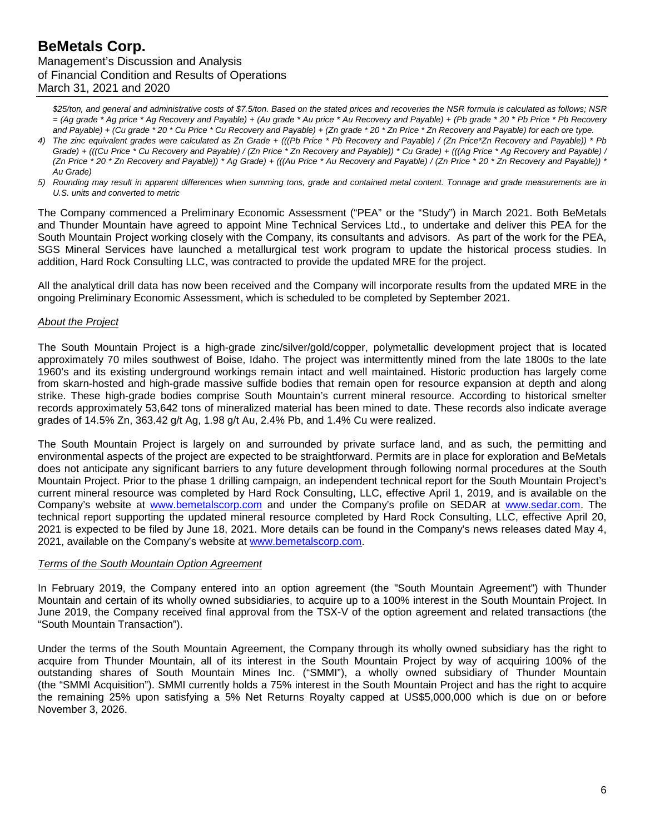*\$25/ton, and general and administrative costs of \$7.5/ton. Based on the stated prices and recoveries the NSR formula is calculated as follows; NSR = (Ag grade \* Ag price \* Ag Recovery and Payable) + (Au grade \* Au price \* Au Recovery and Payable) + (Pb grade \* 20 \* Pb Price \* Pb Recovery and Payable) + (Cu grade \* 20 \* Cu Price \* Cu Recovery and Payable) + (Zn grade \* 20 \* Zn Price \* Zn Recovery and Payable) for each ore type.*

- *4) The zinc equivalent grades were calculated as Zn Grade + (((Pb Price \* Pb Recovery and Payable) / (Zn Price\*Zn Recovery and Payable)) \* Pb Grade) + (((Cu Price \* Cu Recovery and Payable) / (Zn Price \* Zn Recovery and Payable)) \* Cu Grade) + (((Ag Price \* Ag Recovery and Payable) / (Zn Price \* 20 \* Zn Recovery and Payable)) \* Ag Grade) + (((Au Price \* Au Recovery and Payable) / (Zn Price \* 20 \* Zn Recovery and Payable)) \* Au Grade)*
- *5) Rounding may result in apparent differences when summing tons, grade and contained metal content. Tonnage and grade measurements are in U.S. units and converted to metric*

The Company commenced a Preliminary Economic Assessment ("PEA" or the "Study") in March 2021. Both BeMetals and Thunder Mountain have agreed to appoint Mine Technical Services Ltd., to undertake and deliver this PEA for the South Mountain Project working closely with the Company, its consultants and advisors. As part of the work for the PEA, SGS Mineral Services have launched a metallurgical test work program to update the historical process studies. In addition, Hard Rock Consulting LLC, was contracted to provide the updated MRE for the project.

All the analytical drill data has now been received and the Company will incorporate results from the updated MRE in the ongoing Preliminary Economic Assessment, which is scheduled to be completed by September 2021.

### *About the Project*

The South Mountain Project is a high-grade zinc/silver/gold/copper, polymetallic development project that is located approximately 70 miles southwest of Boise, Idaho. The project was intermittently mined from the late 1800s to the late 1960's and its existing underground workings remain intact and well maintained. Historic production has largely come from skarn-hosted and high-grade massive sulfide bodies that remain open for resource expansion at depth and along strike. These high-grade bodies comprise South Mountain's current mineral resource. According to historical smelter records approximately 53,642 tons of mineralized material has been mined to date. These records also indicate average grades of 14.5% Zn, 363.42 g/t Ag, 1.98 g/t Au, 2.4% Pb, and 1.4% Cu were realized.

The South Mountain Project is largely on and surrounded by private surface land, and as such, the permitting and environmental aspects of the project are expected to be straightforward. Permits are in place for exploration and BeMetals does not anticipate any significant barriers to any future development through following normal procedures at the South Mountain Project. Prior to the phase 1 drilling campaign, an independent technical report for the South Mountain Project's current mineral resource was completed by Hard Rock Consulting, LLC, effective April 1, 2019, and is available on the Company's website at [www.bemetalscorp.com](http://www.bemetalscorp.com/) and under the Company's profile on SEDAR at [www.sedar.com.](http://www.sedar.com/) The technical report supporting the updated mineral resource completed by Hard Rock Consulting, LLC, effective April 20, 2021 is expected to be filed by June 18, 2021. More details can be found in the Company's news releases dated May 4, 2021, available on the Company's website at [www.bemetalscorp.com.](http://www.bemetalscorp.com/)

### *Terms of the South Mountain Option Agreement*

In February 2019, the Company entered into an option agreement (the "South Mountain Agreement") with Thunder Mountain and certain of its wholly owned subsidiaries, to acquire up to a 100% interest in the South Mountain Project. In June 2019, the Company received final approval from the TSX-V of the option agreement and related transactions (the "South Mountain Transaction").

Under the terms of the South Mountain Agreement, the Company through its wholly owned subsidiary has the right to acquire from Thunder Mountain, all of its interest in the South Mountain Project by way of acquiring 100% of the outstanding shares of South Mountain Mines Inc. ("SMMI"), a wholly owned subsidiary of Thunder Mountain (the "SMMI Acquisition"). SMMI currently holds a 75% interest in the South Mountain Project and has the right to acquire the remaining 25% upon satisfying a 5% Net Returns Royalty capped at US\$5,000,000 which is due on or before November 3, 2026.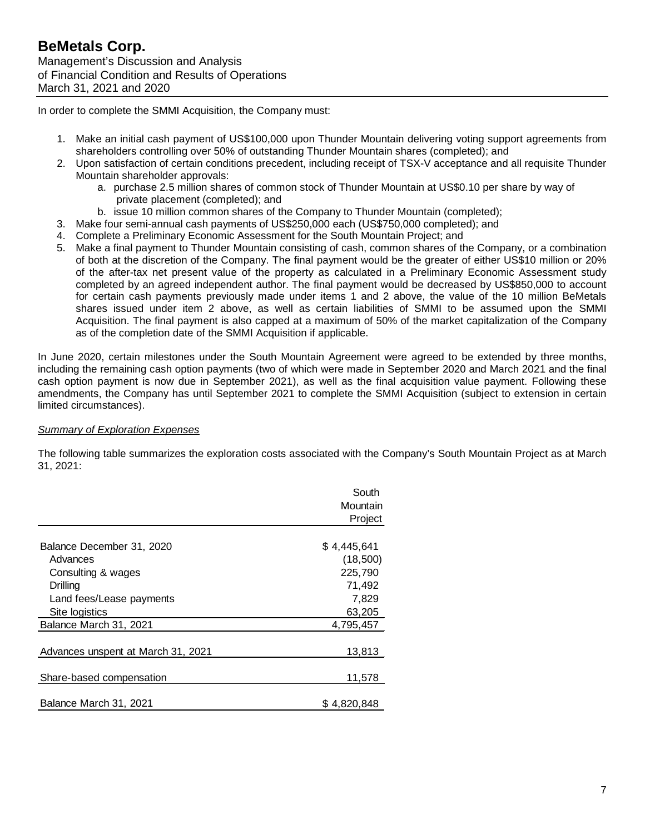In order to complete the SMMI Acquisition, the Company must:

- 1. Make an initial cash payment of US\$100,000 upon Thunder Mountain delivering voting support agreements from shareholders controlling over 50% of outstanding Thunder Mountain shares (completed); and
- 2. Upon satisfaction of certain conditions precedent, including receipt of TSX-V acceptance and all requisite Thunder Mountain shareholder approvals:
	- a. purchase 2.5 million shares of common stock of Thunder Mountain at US\$0.10 per share by way of private placement (completed); and
	- b. issue 10 million common shares of the Company to Thunder Mountain (completed);
- 3. Make four semi-annual cash payments of US\$250,000 each (US\$750,000 completed); and
- 4. Complete a Preliminary Economic Assessment for the South Mountain Project; and
- 5. Make a final payment to Thunder Mountain consisting of cash, common shares of the Company, or a combination of both at the discretion of the Company. The final payment would be the greater of either US\$10 million or 20% of the after-tax net present value of the property as calculated in a Preliminary Economic Assessment study completed by an agreed independent author. The final payment would be decreased by US\$850,000 to account for certain cash payments previously made under items 1 and 2 above, the value of the 10 million BeMetals shares issued under item 2 above, as well as certain liabilities of SMMI to be assumed upon the SMMI Acquisition. The final payment is also capped at a maximum of 50% of the market capitalization of the Company as of the completion date of the SMMI Acquisition if applicable.

In June 2020, certain milestones under the South Mountain Agreement were agreed to be extended by three months, including the remaining cash option payments (two of which were made in September 2020 and March 2021 and the final cash option payment is now due in September 2021), as well as the final acquisition value payment. Following these amendments, the Company has until September 2021 to complete the SMMI Acquisition (subject to extension in certain limited circumstances).

## *Summary of Exploration Expenses*

The following table summarizes the exploration costs associated with the Company's South Mountain Project as at March 31, 2021:

|                                    | South<br>Mountain<br>Project |
|------------------------------------|------------------------------|
|                                    |                              |
| Balance December 31, 2020          | \$4,445,641                  |
| Advances                           | (18,500)                     |
| Consulting & wages                 | 225,790                      |
| Drilling                           | 71,492                       |
| Land fees/Lease payments           | 7,829                        |
| Site logistics                     | 63,205                       |
| Balance March 31, 2021             | 4,795,457                    |
|                                    |                              |
| Advances unspent at March 31, 2021 | 13,813                       |
|                                    |                              |
| Share-based compensation           | 11,578                       |
|                                    |                              |
| Balance March 31, 2021             | \$4.820.848                  |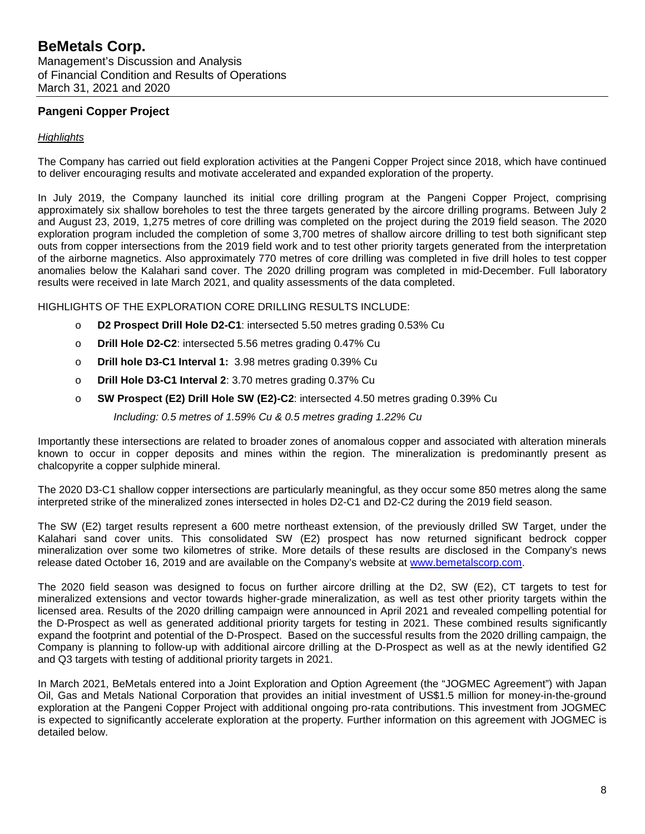# **Pangeni Copper Project**

## *Highlights*

The Company has carried out field exploration activities at the Pangeni Copper Project since 2018, which have continued to deliver encouraging results and motivate accelerated and expanded exploration of the property.

In July 2019, the Company launched its initial core drilling program at the Pangeni Copper Project, comprising approximately six shallow boreholes to test the three targets generated by the aircore drilling programs. Between July 2 and August 23, 2019, 1,275 metres of core drilling was completed on the project during the 2019 field season. The 2020 exploration program included the completion of some 3,700 metres of shallow aircore drilling to test both significant step outs from copper intersections from the 2019 field work and to test other priority targets generated from the interpretation of the airborne magnetics. Also approximately 770 metres of core drilling was completed in five drill holes to test copper anomalies below the Kalahari sand cover. The 2020 drilling program was completed in mid-December. Full laboratory results were received in late March 2021, and quality assessments of the data completed.

HIGHLIGHTS OF THE EXPLORATION CORE DRILLING RESULTS INCLUDE:

- o **D2 Prospect Drill Hole D2-C1**: intersected 5.50 metres grading 0.53% Cu
- o **Drill Hole D2-C2**: intersected 5.56 metres grading 0.47% Cu
- o **Drill hole D3-C1 Interval 1:** 3.98 metres grading 0.39% Cu
- o **Drill Hole D3-C1 Interval 2**: 3.70 metres grading 0.37% Cu
- o **SW Prospect (E2) Drill Hole SW (E2)-C2**: intersected 4.50 metres grading 0.39% Cu

*Including: 0.5 metres of 1.59% Cu & 0.5 metres grading 1.22% Cu*

Importantly these intersections are related to broader zones of anomalous copper and associated with alteration minerals known to occur in copper deposits and mines within the region. The mineralization is predominantly present as chalcopyrite a copper sulphide mineral.

The 2020 D3-C1 shallow copper intersections are particularly meaningful, as they occur some 850 metres along the same interpreted strike of the mineralized zones intersected in holes D2-C1 and D2-C2 during the 2019 field season.

The SW (E2) target results represent a 600 metre northeast extension, of the previously drilled SW Target, under the Kalahari sand cover units. This consolidated SW (E2) prospect has now returned significant bedrock copper mineralization over some two kilometres of strike. More details of these results are disclosed in the Company's news release dated October 16, 2019 and are available on the Company's website at [www.bemetalscorp.com.](http://www.bemetalscorp.com/)

The 2020 field season was designed to focus on further aircore drilling at the D2, SW (E2), CT targets to test for mineralized extensions and vector towards higher-grade mineralization, as well as test other priority targets within the licensed area. Results of the 2020 drilling campaign were announced in April 2021 and revealed compelling potential for the D-Prospect as well as generated additional priority targets for testing in 2021. These combined results significantly expand the footprint and potential of the D-Prospect. Based on the successful results from the 2020 drilling campaign, the Company is planning to follow-up with additional aircore drilling at the D-Prospect as well as at the newly identified G2 and Q3 targets with testing of additional priority targets in 2021.

In March 2021, BeMetals entered into a Joint Exploration and Option Agreement (the "JOGMEC Agreement") with Japan Oil, Gas and Metals National Corporation that provides an initial investment of US\$1.5 million for money-in-the-ground exploration at the Pangeni Copper Project with additional ongoing pro-rata contributions. This investment from JOGMEC is expected to significantly accelerate exploration at the property. Further information on this agreement with JOGMEC is detailed below.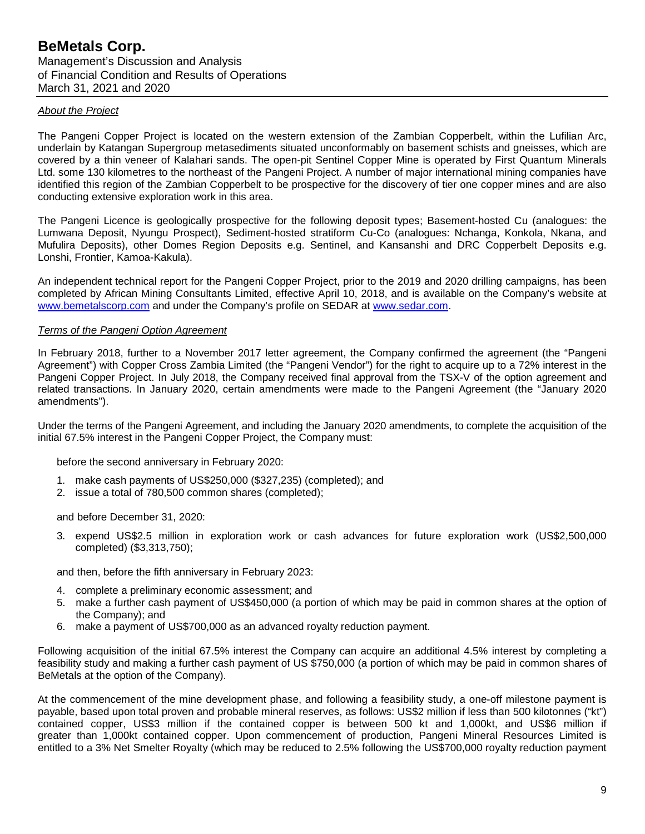### *About the Project*

The Pangeni Copper Project is located on the western extension of the Zambian Copperbelt, within the Lufilian Arc, underlain by Katangan Supergroup metasediments situated unconformably on basement schists and gneisses, which are covered by a thin veneer of Kalahari sands. The open-pit Sentinel Copper Mine is operated by First Quantum Minerals Ltd. some 130 kilometres to the northeast of the Pangeni Project. A number of major international mining companies have identified this region of the Zambian Copperbelt to be prospective for the discovery of tier one copper mines and are also conducting extensive exploration work in this area.

The Pangeni Licence is geologically prospective for the following deposit types; Basement-hosted Cu (analogues: the Lumwana Deposit, Nyungu Prospect), Sediment-hosted stratiform Cu-Co (analogues: Nchanga, Konkola, Nkana, and Mufulira Deposits), other Domes Region Deposits e.g. Sentinel, and Kansanshi and DRC Copperbelt Deposits e.g. Lonshi, Frontier, Kamoa-Kakula).

An independent technical report for the Pangeni Copper Project, prior to the 2019 and 2020 drilling campaigns, has been completed by African Mining Consultants Limited, effective April 10, 2018, and is available on the Company's website at [www.bemetalscorp.com](http://www.bemetalscorp.com/) and under the Company's profile on SEDAR at [www.sedar.com.](http://www.sedar.com/)

### *Terms of the Pangeni Option Agreement*

In February 2018, further to a November 2017 letter agreement, the Company confirmed the agreement (the "Pangeni Agreement") with Copper Cross Zambia Limited (the "Pangeni Vendor") for the right to acquire up to a 72% interest in the Pangeni Copper Project. In July 2018, the Company received final approval from the TSX-V of the option agreement and related transactions. In January 2020, certain amendments were made to the Pangeni Agreement (the "January 2020 amendments").

Under the terms of the Pangeni Agreement, and including the January 2020 amendments, to complete the acquisition of the initial 67.5% interest in the Pangeni Copper Project, the Company must:

before the second anniversary in February 2020:

- 1. make cash payments of US\$250,000 (\$327,235) (completed); and
- 2. issue a total of 780,500 common shares (completed);

and before December 31, 2020:

3. expend US\$2.5 million in exploration work or cash advances for future exploration work (US\$2,500,000 completed) (\$3,313,750);

and then, before the fifth anniversary in February 2023:

- 4. complete a preliminary economic assessment; and
- 5. make a further cash payment of US\$450,000 (a portion of which may be paid in common shares at the option of the Company); and
- 6. make a payment of US\$700,000 as an advanced royalty reduction payment.

Following acquisition of the initial 67.5% interest the Company can acquire an additional 4.5% interest by completing a feasibility study and making a further cash payment of US \$750,000 (a portion of which may be paid in common shares of BeMetals at the option of the Company).

At the commencement of the mine development phase, and following a feasibility study, a one-off milestone payment is payable, based upon total proven and probable mineral reserves, as follows: US\$2 million if less than 500 kilotonnes ("kt") contained copper, US\$3 million if the contained copper is between 500 kt and 1,000kt, and US\$6 million if greater than 1,000kt contained copper. Upon commencement of production, Pangeni Mineral Resources Limited is entitled to a 3% Net Smelter Royalty (which may be reduced to 2.5% following the US\$700,000 royalty reduction payment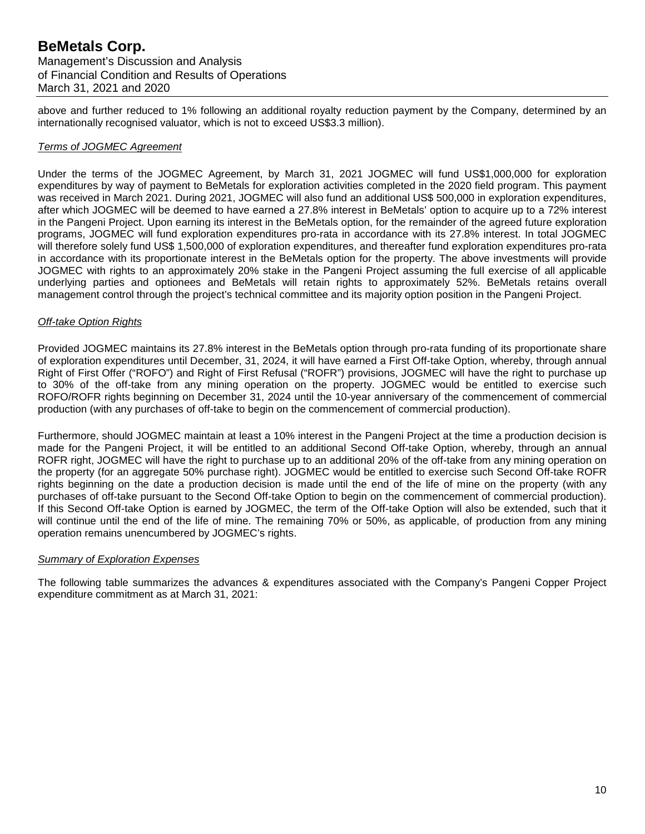above and further reduced to 1% following an additional royalty reduction payment by the Company, determined by an internationally recognised valuator, which is not to exceed US\$3.3 million).

### *Terms of JOGMEC Agreement*

Under the terms of the JOGMEC Agreement, by March 31, 2021 JOGMEC will fund US\$1,000,000 for exploration expenditures by way of payment to BeMetals for exploration activities completed in the 2020 field program. This payment was received in March 2021. During 2021, JOGMEC will also fund an additional US\$ 500,000 in exploration expenditures, after which JOGMEC will be deemed to have earned a 27.8% interest in BeMetals' option to acquire up to a 72% interest in the Pangeni Project. Upon earning its interest in the BeMetals option, for the remainder of the agreed future exploration programs, JOGMEC will fund exploration expenditures pro-rata in accordance with its 27.8% interest. In total JOGMEC will therefore solely fund US\$ 1,500,000 of exploration expenditures, and thereafter fund exploration expenditures pro-rata in accordance with its proportionate interest in the BeMetals option for the property. The above investments will provide JOGMEC with rights to an approximately 20% stake in the Pangeni Project assuming the full exercise of all applicable underlying parties and optionees and BeMetals will retain rights to approximately 52%. BeMetals retains overall management control through the project's technical committee and its majority option position in the Pangeni Project.

### *Off-take Option Rights*

Provided JOGMEC maintains its 27.8% interest in the BeMetals option through pro-rata funding of its proportionate share of exploration expenditures until December, 31, 2024, it will have earned a First Off-take Option, whereby, through annual Right of First Offer ("ROFO") and Right of First Refusal ("ROFR") provisions, JOGMEC will have the right to purchase up to 30% of the off-take from any mining operation on the property. JOGMEC would be entitled to exercise such ROFO/ROFR rights beginning on December 31, 2024 until the 10-year anniversary of the commencement of commercial production (with any purchases of off-take to begin on the commencement of commercial production).

Furthermore, should JOGMEC maintain at least a 10% interest in the Pangeni Project at the time a production decision is made for the Pangeni Project, it will be entitled to an additional Second Off-take Option, whereby, through an annual ROFR right, JOGMEC will have the right to purchase up to an additional 20% of the off-take from any mining operation on the property (for an aggregate 50% purchase right). JOGMEC would be entitled to exercise such Second Off-take ROFR rights beginning on the date a production decision is made until the end of the life of mine on the property (with any purchases of off-take pursuant to the Second Off-take Option to begin on the commencement of commercial production). If this Second Off-take Option is earned by JOGMEC, the term of the Off-take Option will also be extended, such that it will continue until the end of the life of mine. The remaining 70% or 50%, as applicable, of production from any mining operation remains unencumbered by JOGMEC's rights.

### *Summary of Exploration Expenses*

The following table summarizes the advances & expenditures associated with the Company's Pangeni Copper Project expenditure commitment as at March 31, 2021: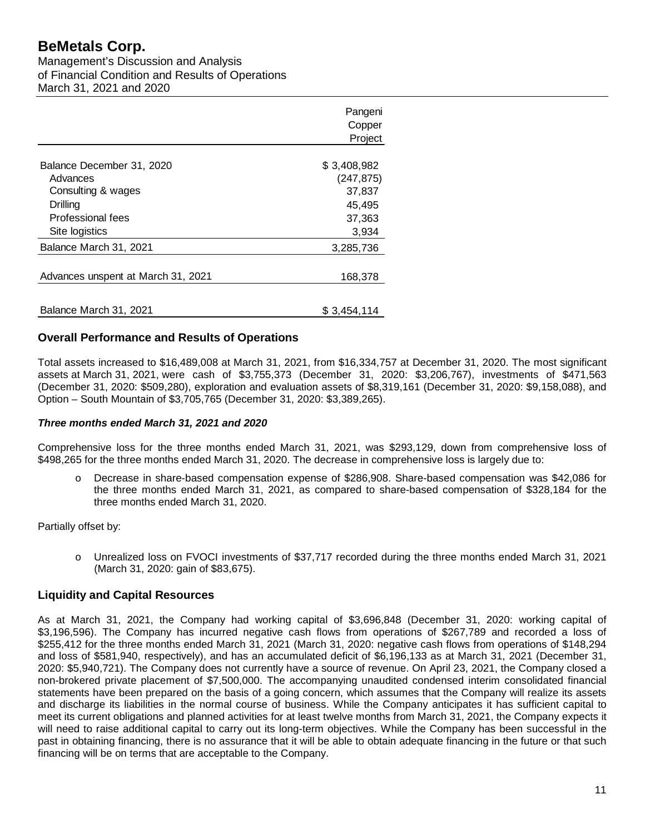Management's Discussion and Analysis of Financial Condition and Results of Operations March 31, 2021 and 2020

|                                    | Pangeni<br>Copper<br>Project |
|------------------------------------|------------------------------|
| Balance December 31, 2020          | \$3,408,982                  |
| Advances                           | (247, 875)                   |
| Consulting & wages                 | 37,837                       |
| Drilling                           | 45,495                       |
| Professional fees                  | 37,363                       |
| Site logistics                     | 3,934                        |
| Balance March 31, 2021             | 3,285,736                    |
|                                    |                              |
| Advances unspent at March 31, 2021 | 168,378                      |
|                                    |                              |
| Balance March 31, 2021             | \$3,454,114                  |

## **Overall Performance and Results of Operations**

Total assets increased to \$16,489,008 at March 31, 2021, from \$16,334,757 at December 31, 2020. The most significant assets at March 31, 2021, were cash of \$3,755,373 (December 31, 2020: \$3,206,767), investments of \$471,563 (December 31, 2020: \$509,280), exploration and evaluation assets of \$8,319,161 (December 31, 2020: \$9,158,088), and Option – South Mountain of \$3,705,765 (December 31, 2020: \$3,389,265).

### *Three months ended March 31, 2021 and 2020*

Comprehensive loss for the three months ended March 31, 2021, was \$293,129, down from comprehensive loss of \$498,265 for the three months ended March 31, 2020. The decrease in comprehensive loss is largely due to:

o Decrease in share-based compensation expense of \$286,908. Share-based compensation was \$42,086 for the three months ended March 31, 2021, as compared to share-based compensation of \$328,184 for the three months ended March 31, 2020.

Partially offset by:

o Unrealized loss on FVOCI investments of \$37,717 recorded during the three months ended March 31, 2021 (March 31, 2020: gain of \$83,675).

## **Liquidity and Capital Resources**

As at March 31, 2021, the Company had working capital of \$3,696,848 (December 31, 2020: working capital of \$3,196,596). The Company has incurred negative cash flows from operations of \$267,789 and recorded a loss of \$255,412 for the three months ended March 31, 2021 (March 31, 2020: negative cash flows from operations of \$148,294 and loss of \$581,940, respectively), and has an accumulated deficit of \$6,196,133 as at March 31, 2021 (December 31, 2020: \$5,940,721). The Company does not currently have a source of revenue. On April 23, 2021, the Company closed a non-brokered private placement of \$7,500,000. The accompanying unaudited condensed interim consolidated financial statements have been prepared on the basis of a going concern, which assumes that the Company will realize its assets and discharge its liabilities in the normal course of business. While the Company anticipates it has sufficient capital to meet its current obligations and planned activities for at least twelve months from March 31, 2021, the Company expects it will need to raise additional capital to carry out its long-term objectives. While the Company has been successful in the past in obtaining financing, there is no assurance that it will be able to obtain adequate financing in the future or that such financing will be on terms that are acceptable to the Company.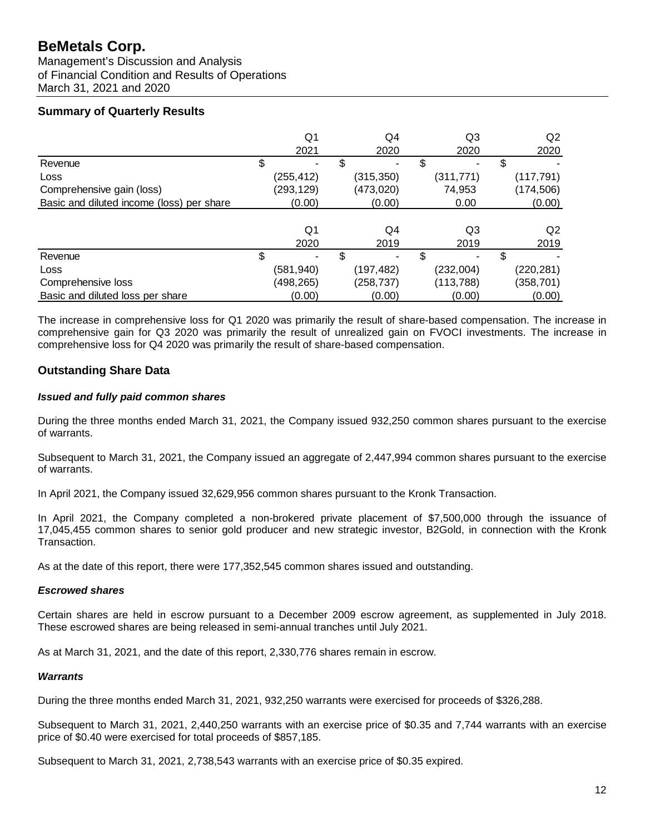Management's Discussion and Analysis of Financial Condition and Results of Operations March 31, 2021 and 2020

# **Summary of Quarterly Results**

|                                           | Q1         | Q4         | Q3         | Q2         |
|-------------------------------------------|------------|------------|------------|------------|
|                                           | 2021       | 2020       | 2020       | 2020       |
| Revenue                                   |            |            | \$<br>-    | \$         |
| Loss                                      | (255,412)  | (315,350)  | (311, 771) | (117, 791) |
| Comprehensive gain (loss)                 | (293, 129) | (473, 020) | 74,953     | (174,506)  |
| Basic and diluted income (loss) per share | (0.00)     | (0.00)     | 0.00       | (0.00)     |
|                                           |            |            |            |            |
|                                           | Q1         | Q4         | Q3         | Q2         |
|                                           | 2020       | 2019       | 2019       | 2019       |
| Revenue                                   | \$         |            | \$         | \$         |
| Loss                                      | (581,940)  | (197,482)  | (232,004)  | (220, 281) |
| Comprehensive loss                        | (498, 265) | (258, 737) | (113, 788) | (358,701)  |
| Basic and diluted loss per share          | (0.00)     | (0.00)     | (0.00)     | (0.00)     |

The increase in comprehensive loss for Q1 2020 was primarily the result of share-based compensation. The increase in comprehensive gain for Q3 2020 was primarily the result of unrealized gain on FVOCI investments. The increase in comprehensive loss for Q4 2020 was primarily the result of share-based compensation.

# **Outstanding Share Data**

## *Issued and fully paid common shares*

During the three months ended March 31, 2021, the Company issued 932,250 common shares pursuant to the exercise of warrants.

Subsequent to March 31, 2021, the Company issued an aggregate of 2,447,994 common shares pursuant to the exercise of warrants.

In April 2021, the Company issued 32,629,956 common shares pursuant to the Kronk Transaction.

In April 2021, the Company completed a non-brokered private placement of \$7,500,000 through the issuance of 17,045,455 common shares to senior gold producer and new strategic investor, B2Gold, in connection with the Kronk Transaction.

As at the date of this report, there were 177,352,545 common shares issued and outstanding.

## *Escrowed shares*

Certain shares are held in escrow pursuant to a December 2009 escrow agreement, as supplemented in July 2018. These escrowed shares are being released in semi-annual tranches until July 2021.

As at March 31, 2021, and the date of this report, 2,330,776 shares remain in escrow.

## *Warrants*

During the three months ended March 31, 2021, 932,250 warrants were exercised for proceeds of \$326,288.

Subsequent to March 31, 2021, 2,440,250 warrants with an exercise price of \$0.35 and 7,744 warrants with an exercise price of \$0.40 were exercised for total proceeds of \$857,185.

Subsequent to March 31, 2021, 2,738,543 warrants with an exercise price of \$0.35 expired.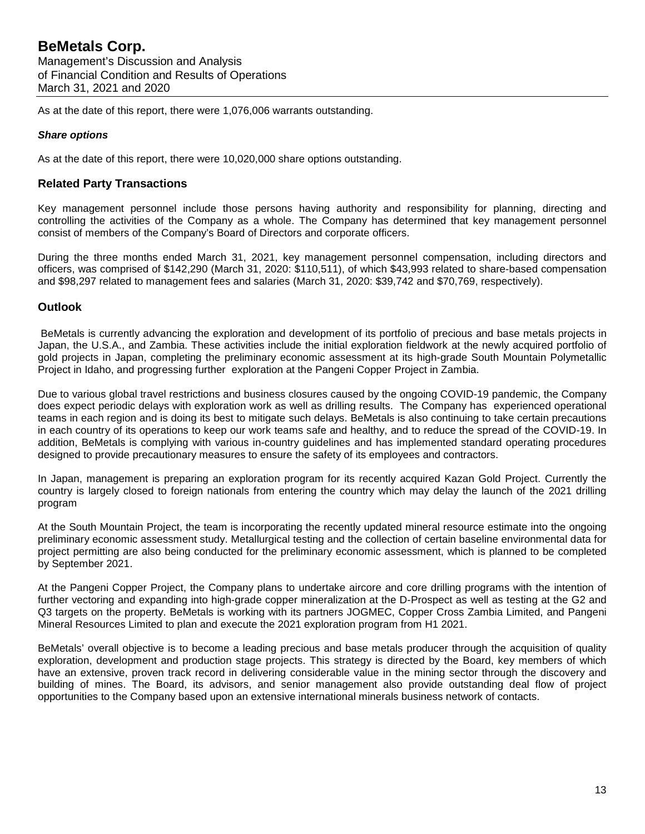As at the date of this report, there were 1,076,006 warrants outstanding.

### *Share options*

As at the date of this report, there were 10,020,000 share options outstanding.

## **Related Party Transactions**

Key management personnel include those persons having authority and responsibility for planning, directing and controlling the activities of the Company as a whole. The Company has determined that key management personnel consist of members of the Company's Board of Directors and corporate officers.

During the three months ended March 31, 2021, key management personnel compensation, including directors and officers, was comprised of \$142,290 (March 31, 2020: \$110,511), of which \$43,993 related to share-based compensation and \$98,297 related to management fees and salaries (March 31, 2020: \$39,742 and \$70,769, respectively).

## **Outlook**

BeMetals is currently advancing the exploration and development of its portfolio of precious and base metals projects in Japan, the U.S.A., and Zambia. These activities include the initial exploration fieldwork at the newly acquired portfolio of gold projects in Japan, completing the preliminary economic assessment at its high-grade South Mountain Polymetallic Project in Idaho, and progressing further exploration at the Pangeni Copper Project in Zambia.

Due to various global travel restrictions and business closures caused by the ongoing COVID-19 pandemic, the Company does expect periodic delays with exploration work as well as drilling results. The Company has experienced operational teams in each region and is doing its best to mitigate such delays. BeMetals is also continuing to take certain precautions in each country of its operations to keep our work teams safe and healthy, and to reduce the spread of the COVID-19. In addition, BeMetals is complying with various in-country guidelines and has implemented standard operating procedures designed to provide precautionary measures to ensure the safety of its employees and contractors.

In Japan, management is preparing an exploration program for its recently acquired Kazan Gold Project. Currently the country is largely closed to foreign nationals from entering the country which may delay the launch of the 2021 drilling program

At the South Mountain Project, the team is incorporating the recently updated mineral resource estimate into the ongoing preliminary economic assessment study. Metallurgical testing and the collection of certain baseline environmental data for project permitting are also being conducted for the preliminary economic assessment, which is planned to be completed by September 2021.

At the Pangeni Copper Project, the Company plans to undertake aircore and core drilling programs with the intention of further vectoring and expanding into high-grade copper mineralization at the D-Prospect as well as testing at the G2 and Q3 targets on the property. BeMetals is working with its partners JOGMEC, Copper Cross Zambia Limited, and Pangeni Mineral Resources Limited to plan and execute the 2021 exploration program from H1 2021.

BeMetals' overall objective is to become a leading precious and base metals producer through the acquisition of quality exploration, development and production stage projects. This strategy is directed by the Board, key members of which have an extensive, proven track record in delivering considerable value in the mining sector through the discovery and building of mines. The Board, its advisors, and senior management also provide outstanding deal flow of project opportunities to the Company based upon an extensive international minerals business network of contacts.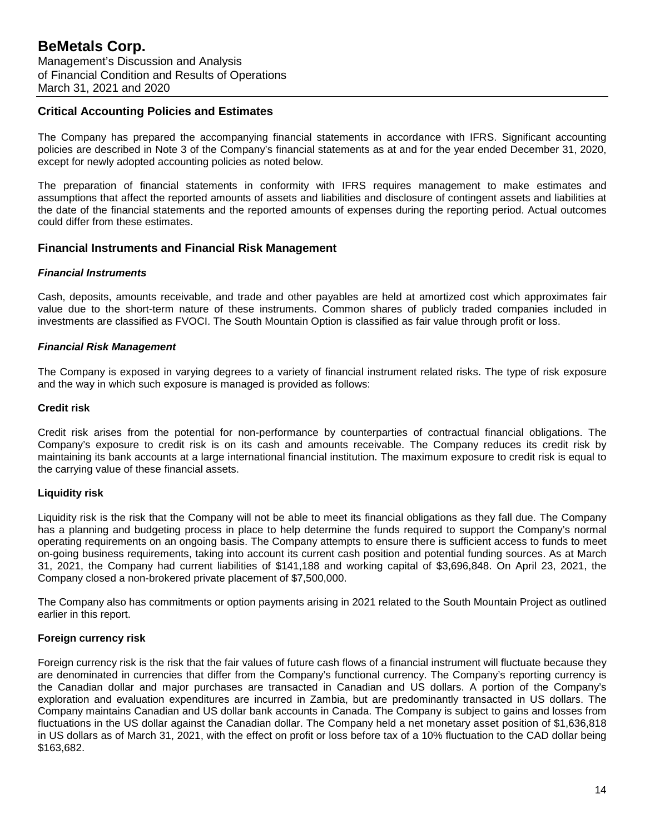### **Critical Accounting Policies and Estimates**

The Company has prepared the accompanying financial statements in accordance with IFRS. Significant accounting policies are described in Note 3 of the Company's financial statements as at and for the year ended December 31, 2020, except for newly adopted accounting policies as noted below.

The preparation of financial statements in conformity with IFRS requires management to make estimates and assumptions that affect the reported amounts of assets and liabilities and disclosure of contingent assets and liabilities at the date of the financial statements and the reported amounts of expenses during the reporting period. Actual outcomes could differ from these estimates.

## **Financial Instruments and Financial Risk Management**

### *Financial Instruments*

Cash, deposits, amounts receivable, and trade and other payables are held at amortized cost which approximates fair value due to the short-term nature of these instruments. Common shares of publicly traded companies included in investments are classified as FVOCI. The South Mountain Option is classified as fair value through profit or loss.

### *Financial Risk Management*

The Company is exposed in varying degrees to a variety of financial instrument related risks. The type of risk exposure and the way in which such exposure is managed is provided as follows:

### **Credit risk**

Credit risk arises from the potential for non-performance by counterparties of contractual financial obligations. The Company's exposure to credit risk is on its cash and amounts receivable. The Company reduces its credit risk by maintaining its bank accounts at a large international financial institution. The maximum exposure to credit risk is equal to the carrying value of these financial assets.

### **Liquidity risk**

Liquidity risk is the risk that the Company will not be able to meet its financial obligations as they fall due. The Company has a planning and budgeting process in place to help determine the funds required to support the Company's normal operating requirements on an ongoing basis. The Company attempts to ensure there is sufficient access to funds to meet on-going business requirements, taking into account its current cash position and potential funding sources. As at March 31, 2021, the Company had current liabilities of \$141,188 and working capital of \$3,696,848. On April 23, 2021, the Company closed a non-brokered private placement of \$7,500,000.

The Company also has commitments or option payments arising in 2021 related to the South Mountain Project as outlined earlier in this report.

### **Foreign currency risk**

Foreign currency risk is the risk that the fair values of future cash flows of a financial instrument will fluctuate because they are denominated in currencies that differ from the Company's functional currency. The Company's reporting currency is the Canadian dollar and major purchases are transacted in Canadian and US dollars. A portion of the Company's exploration and evaluation expenditures are incurred in Zambia, but are predominantly transacted in US dollars. The Company maintains Canadian and US dollar bank accounts in Canada. The Company is subject to gains and losses from fluctuations in the US dollar against the Canadian dollar. The Company held a net monetary asset position of \$1,636,818 in US dollars as of March 31, 2021, with the effect on profit or loss before tax of a 10% fluctuation to the CAD dollar being \$163,682.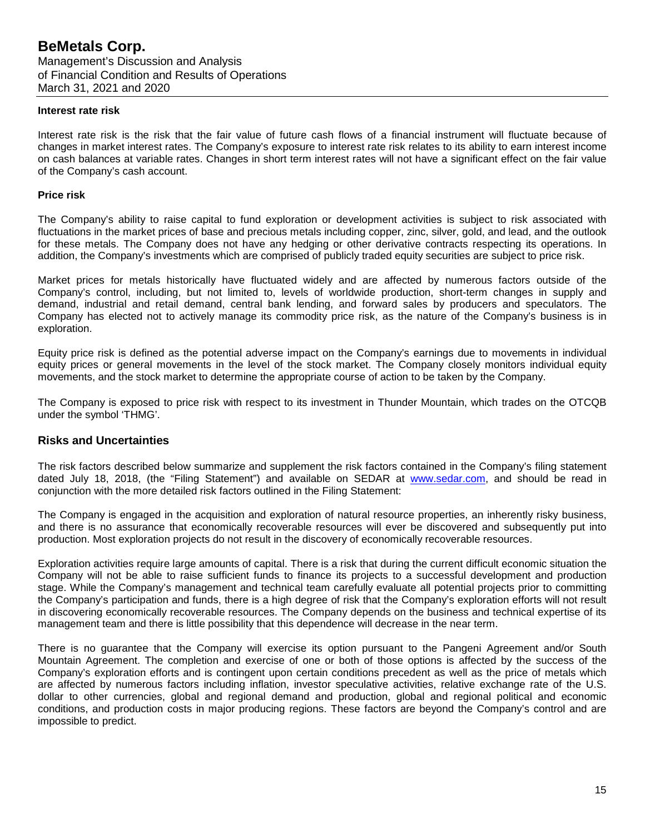### **Interest rate risk**

Interest rate risk is the risk that the fair value of future cash flows of a financial instrument will fluctuate because of changes in market interest rates. The Company's exposure to interest rate risk relates to its ability to earn interest income on cash balances at variable rates. Changes in short term interest rates will not have a significant effect on the fair value of the Company's cash account.

### **Price risk**

The Company's ability to raise capital to fund exploration or development activities is subject to risk associated with fluctuations in the market prices of base and precious metals including copper, zinc, silver, gold, and lead, and the outlook for these metals. The Company does not have any hedging or other derivative contracts respecting its operations. In addition, the Company's investments which are comprised of publicly traded equity securities are subject to price risk.

Market prices for metals historically have fluctuated widely and are affected by numerous factors outside of the Company's control, including, but not limited to, levels of worldwide production, short-term changes in supply and demand, industrial and retail demand, central bank lending, and forward sales by producers and speculators. The Company has elected not to actively manage its commodity price risk, as the nature of the Company's business is in exploration.

Equity price risk is defined as the potential adverse impact on the Company's earnings due to movements in individual equity prices or general movements in the level of the stock market. The Company closely monitors individual equity movements, and the stock market to determine the appropriate course of action to be taken by the Company.

The Company is exposed to price risk with respect to its investment in Thunder Mountain, which trades on the OTCQB under the symbol 'THMG'.

### **Risks and Uncertainties**

The risk factors described below summarize and supplement the risk factors contained in the Company's filing statement dated July 18, 2018, (the "Filing Statement") and available on SEDAR at [www.sedar.com,](http://www.sedar.com/) and should be read in conjunction with the more detailed risk factors outlined in the Filing Statement:

The Company is engaged in the acquisition and exploration of natural resource properties, an inherently risky business, and there is no assurance that economically recoverable resources will ever be discovered and subsequently put into production. Most exploration projects do not result in the discovery of economically recoverable resources.

Exploration activities require large amounts of capital. There is a risk that during the current difficult economic situation the Company will not be able to raise sufficient funds to finance its projects to a successful development and production stage. While the Company's management and technical team carefully evaluate all potential projects prior to committing the Company's participation and funds, there is a high degree of risk that the Company's exploration efforts will not result in discovering economically recoverable resources. The Company depends on the business and technical expertise of its management team and there is little possibility that this dependence will decrease in the near term.

There is no guarantee that the Company will exercise its option pursuant to the Pangeni Agreement and/or South Mountain Agreement. The completion and exercise of one or both of those options is affected by the success of the Company's exploration efforts and is contingent upon certain conditions precedent as well as the price of metals which are affected by numerous factors including inflation, investor speculative activities, relative exchange rate of the U.S. dollar to other currencies, global and regional demand and production, global and regional political and economic conditions, and production costs in major producing regions. These factors are beyond the Company's control and are impossible to predict.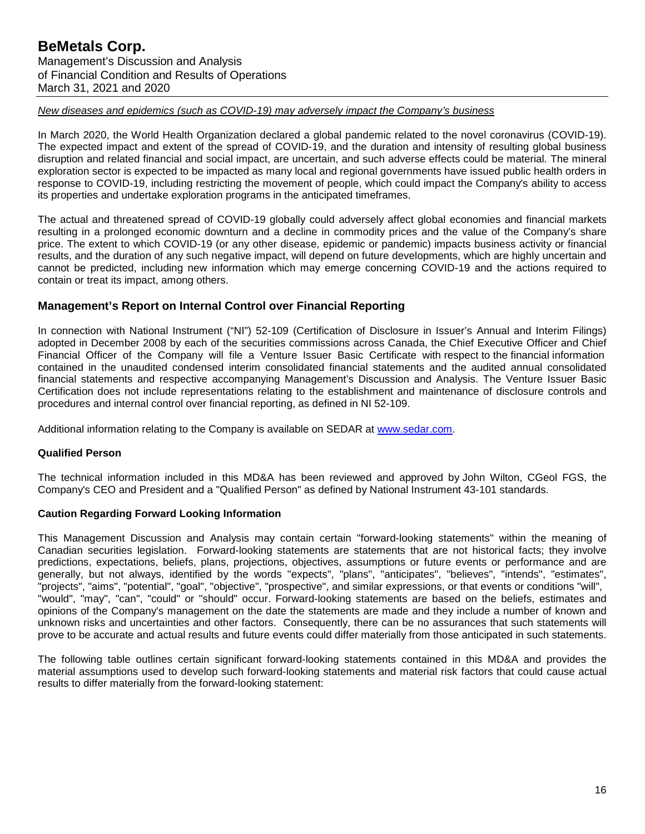## *New diseases and epidemics (such as COVID-19) may adversely impact the Company's business*

In March 2020, the World Health Organization declared a global pandemic related to the novel coronavirus (COVID-19). The expected impact and extent of the spread of COVID-19, and the duration and intensity of resulting global business disruption and related financial and social impact, are uncertain, and such adverse effects could be material. The mineral exploration sector is expected to be impacted as many local and regional governments have issued public health orders in response to COVID-19, including restricting the movement of people, which could impact the Company's ability to access its properties and undertake exploration programs in the anticipated timeframes.

The actual and threatened spread of COVID-19 globally could adversely affect global economies and financial markets resulting in a prolonged economic downturn and a decline in commodity prices and the value of the Company's share price. The extent to which COVID-19 (or any other disease, epidemic or pandemic) impacts business activity or financial results, and the duration of any such negative impact, will depend on future developments, which are highly uncertain and cannot be predicted, including new information which may emerge concerning COVID-19 and the actions required to contain or treat its impact, among others.

## **Management's Report on Internal Control over Financial Reporting**

In connection with National Instrument ("NI") 52-109 (Certification of Disclosure in Issuer's Annual and Interim Filings) adopted in December 2008 by each of the securities commissions across Canada, the Chief Executive Officer and Chief Financial Officer of the Company will file a Venture Issuer Basic Certificate with respect to the financial information contained in the unaudited condensed interim consolidated financial statements and the audited annual consolidated financial statements and respective accompanying Management's Discussion and Analysis. The Venture Issuer Basic Certification does not include representations relating to the establishment and maintenance of disclosure controls and procedures and internal control over financial reporting, as defined in NI 52-109.

Additional information relating to the Company is available on SEDAR at [www.sedar.com.](http://www.sedar.com/)

## **Qualified Person**

The technical information included in this MD&A has been reviewed and approved by John Wilton, CGeol FGS, the Company's CEO and President and a "Qualified Person" as defined by National Instrument 43-101 standards.

## **Caution Regarding Forward Looking Information**

This Management Discussion and Analysis may contain certain "forward-looking statements" within the meaning of Canadian securities legislation. Forward-looking statements are statements that are not historical facts; they involve predictions, expectations, beliefs, plans, projections, objectives, assumptions or future events or performance and are generally, but not always, identified by the words "expects", "plans", "anticipates", "believes", "intends", "estimates", "projects", "aims", "potential", "goal", "objective", "prospective", and similar expressions, or that events or conditions "will", "would", "may", "can", "could" or "should" occur. Forward-looking statements are based on the beliefs, estimates and opinions of the Company's management on the date the statements are made and they include a number of known and unknown risks and uncertainties and other factors. Consequently, there can be no assurances that such statements will prove to be accurate and actual results and future events could differ materially from those anticipated in such statements.

The following table outlines certain significant forward-looking statements contained in this MD&A and provides the material assumptions used to develop such forward-looking statements and material risk factors that could cause actual results to differ materially from the forward-looking statement: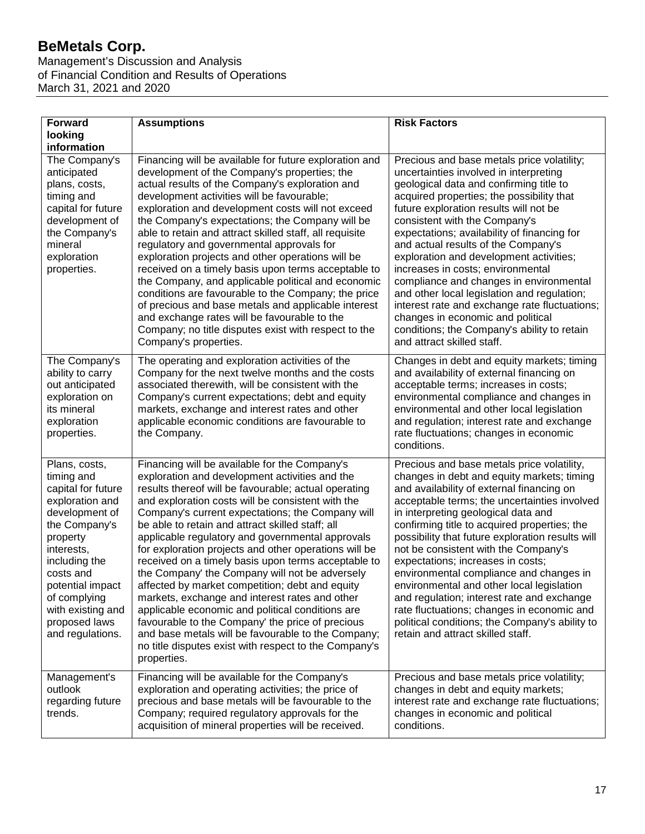Management's Discussion and Analysis of Financial Condition and Results of Operations March 31, 2021 and 2020

| <b>Forward</b><br>looking                                                                                                                                                                                                                                     | <b>Assumptions</b>                                                                                                                                                                                                                                                                                                                                                                                                                                                                                                                                                                                                                                                                                                                                                                                                                                                                    | <b>Risk Factors</b>                                                                                                                                                                                                                                                                                                                                                                                                                                                                                                                                                                                                                                                                        |  |  |  |
|---------------------------------------------------------------------------------------------------------------------------------------------------------------------------------------------------------------------------------------------------------------|---------------------------------------------------------------------------------------------------------------------------------------------------------------------------------------------------------------------------------------------------------------------------------------------------------------------------------------------------------------------------------------------------------------------------------------------------------------------------------------------------------------------------------------------------------------------------------------------------------------------------------------------------------------------------------------------------------------------------------------------------------------------------------------------------------------------------------------------------------------------------------------|--------------------------------------------------------------------------------------------------------------------------------------------------------------------------------------------------------------------------------------------------------------------------------------------------------------------------------------------------------------------------------------------------------------------------------------------------------------------------------------------------------------------------------------------------------------------------------------------------------------------------------------------------------------------------------------------|--|--|--|
| information                                                                                                                                                                                                                                                   |                                                                                                                                                                                                                                                                                                                                                                                                                                                                                                                                                                                                                                                                                                                                                                                                                                                                                       |                                                                                                                                                                                                                                                                                                                                                                                                                                                                                                                                                                                                                                                                                            |  |  |  |
| The Company's<br>anticipated<br>plans, costs,<br>timing and<br>capital for future<br>development of<br>the Company's<br>mineral<br>exploration<br>properties.                                                                                                 | Financing will be available for future exploration and<br>development of the Company's properties; the<br>actual results of the Company's exploration and<br>development activities will be favourable;<br>exploration and development costs will not exceed<br>the Company's expectations; the Company will be<br>able to retain and attract skilled staff, all requisite<br>regulatory and governmental approvals for<br>exploration projects and other operations will be<br>received on a timely basis upon terms acceptable to<br>the Company, and applicable political and economic<br>conditions are favourable to the Company; the price<br>of precious and base metals and applicable interest<br>and exchange rates will be favourable to the<br>Company; no title disputes exist with respect to the<br>Company's properties.                                              | Precious and base metals price volatility;<br>uncertainties involved in interpreting<br>geological data and confirming title to<br>acquired properties; the possibility that<br>future exploration results will not be<br>consistent with the Company's<br>expectations; availability of financing for<br>and actual results of the Company's<br>exploration and development activities;<br>increases in costs; environmental<br>compliance and changes in environmental<br>and other local legislation and regulation;<br>interest rate and exchange rate fluctuations;<br>changes in economic and political<br>conditions; the Company's ability to retain<br>and attract skilled staff. |  |  |  |
| The Company's<br>ability to carry<br>out anticipated<br>exploration on<br>its mineral<br>exploration<br>properties.                                                                                                                                           | The operating and exploration activities of the<br>Company for the next twelve months and the costs<br>associated therewith, will be consistent with the<br>Company's current expectations; debt and equity<br>markets, exchange and interest rates and other<br>applicable economic conditions are favourable to<br>the Company.                                                                                                                                                                                                                                                                                                                                                                                                                                                                                                                                                     | Changes in debt and equity markets; timing<br>and availability of external financing on<br>acceptable terms; increases in costs;<br>environmental compliance and changes in<br>environmental and other local legislation<br>and regulation; interest rate and exchange<br>rate fluctuations; changes in economic<br>conditions.                                                                                                                                                                                                                                                                                                                                                            |  |  |  |
| Plans, costs,<br>timing and<br>capital for future<br>exploration and<br>development of<br>the Company's<br>property<br>interests,<br>including the<br>costs and<br>potential impact<br>of complying<br>with existing and<br>proposed laws<br>and regulations. | Financing will be available for the Company's<br>exploration and development activities and the<br>results thereof will be favourable; actual operating<br>and exploration costs will be consistent with the<br>Company's current expectations; the Company will<br>be able to retain and attract skilled staff; all<br>applicable regulatory and governmental approvals<br>for exploration projects and other operations will be<br>received on a timely basis upon terms acceptable to<br>the Company' the Company will not be adversely<br>affected by market competition; debt and equity<br>markets, exchange and interest rates and other<br>applicable economic and political conditions are<br>favourable to the Company' the price of precious<br>and base metals will be favourable to the Company;<br>no title disputes exist with respect to the Company's<br>properties. | Precious and base metals price volatility,<br>changes in debt and equity markets; timing<br>and availability of external financing on<br>acceptable terms; the uncertainties involved<br>in interpreting geological data and<br>confirming title to acquired properties; the<br>possibility that future exploration results will<br>not be consistent with the Company's<br>expectations; increases in costs;<br>environmental compliance and changes in<br>environmental and other local legislation<br>and regulation; interest rate and exchange<br>rate fluctuations; changes in economic and<br>political conditions; the Company's ability to<br>retain and attract skilled staff.   |  |  |  |
| Management's<br>outlook<br>regarding future<br>trends.                                                                                                                                                                                                        | Financing will be available for the Company's<br>exploration and operating activities; the price of<br>precious and base metals will be favourable to the<br>Company; required regulatory approvals for the<br>acquisition of mineral properties will be received.                                                                                                                                                                                                                                                                                                                                                                                                                                                                                                                                                                                                                    | Precious and base metals price volatility;<br>changes in debt and equity markets;<br>interest rate and exchange rate fluctuations;<br>changes in economic and political<br>conditions.                                                                                                                                                                                                                                                                                                                                                                                                                                                                                                     |  |  |  |